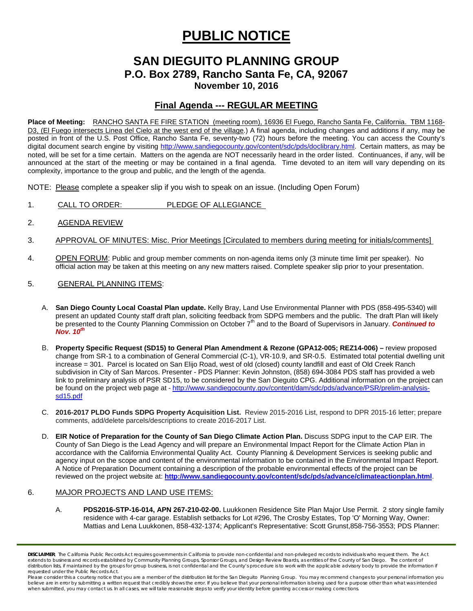# **PUBLIC NOTICE**

## **SAN DIEGUITO PLANNING GROUP P.O. Box 2789, Rancho Santa Fe, CA, 92067 November 10, 2016**

### **Final Agenda --- REGULAR MEETING**

**Place of Meeting:** RANCHO SANTA FE FIRE STATION (meeting room), 16936 El Fuego, Rancho Santa Fe, California. TBM 1168- D3, (El Fuego intersects Linea del Cielo at the west end of the village.) A final agenda, including changes and additions if any, may be posted in front of the U.S. Post Office, Rancho Santa Fe, seventy-two (72) hours before the meeting. You can access the County's digital document search engine by visiting<http://www.sandiegocounty.gov/content/sdc/pds/doclibrary.html>. Certain matters, as may be noted, will be set for a time certain. Matters on the agenda are NOT necessarily heard in the order listed. Continuances, if any, will be announced at the start of the meeting or may be contained in a final agenda. Time devoted to an item will vary depending on its complexity, importance to the group and public, and the length of the agenda.

NOTE: Please complete a speaker slip if you wish to speak on an issue. (Including Open Forum)

- 1. CALL TO ORDER: PLEDGE OF ALLEGIANCE
- 2. AGENDA REVIEW
- 3. APPROVAL OF MINUTES: Misc. Prior Meetings [Circulated to members during meeting for initials/comments]
- 4. OPEN FORUM: Public and group member comments on non-agenda items only (3 minute time limit per speaker). No official action may be taken at this meeting on any new matters raised. Complete speaker slip prior to your presentation.
- 5. GENERAL PLANNING ITEMS:
	- A. **San Diego County Local Coastal Plan update.** Kelly Bray, Land Use Environmental Planner with PDS (858-495-5340) will present an updated County staff draft plan, soliciting feedback from SDPG members and the public. The draft Plan will likely be presented to the County Planning Commission on October 7<sup>th</sup> and to the Board of Supervisors in January. *Continued to Nov. 10th*
	- B. **Property Specific Request (SD15) to General Plan Amendment & Rezone (GPA12-005; REZ14-006) –** review proposed change from SR-1 to a combination of General Commercial (C-1), VR-10.9, and SR-0.5. Estimated total potential dwelling unit increase = 301. Parcel is located on San Elijo Road, west of old (closed) county landfill and east of Old Creek Ranch subdivision in City of San Marcos. Presenter - PDS Planner: Kevin Johnston, [\(858\) 694-3084](tel:%28858%29%20694-3084) PDS staff has provided a web link to preliminary analysis of PSR SD15, to be considered by the San Dieguito CPG. Additional information on the project can be found on the project web page at - [http://www.sandiegocounty.gov/content/dam/sdc/pds/advance/PSR/prelim-analysis](http://www.sandiegocounty.gov/content/dam/sdc/pds/advance/PSR/prelim-analysis-sd15.pdf)[sd15.pdf](http://www.sandiegocounty.gov/content/dam/sdc/pds/advance/PSR/prelim-analysis-sd15.pdf)
	- C. **2016-2017 PLDO Funds SDPG Property Acquisition List.** Review 2015-2016 List, respond to DPR 2015-16 letter; prepare comments, add/delete parcels/descriptions to create 2016-2017 List.
	- D. **EIR Notice of Preparation for the County of San Diego Climate Action Plan.** Discuss SDPG input to the CAP EIR. The County of San Diego is the Lead Agency and will prepare an Environmental Impact Report for the Climate Action Plan in accordance with the California Environmental Quality Act. County Planning & Development Services is seeking public and agency input on the scope and content of the environmental information to be contained in the Environmental Impact Report. A Notice of Preparation Document containing a description of the probable environmental effects of the project can be reviewed on the project website at: **<http://www.sandiegocounty.gov/content/sdc/pds/advance/climateactionplan.html>**.

#### 6. MAJOR PROJECTS AND LAND USE ITEMS:

A. **PDS2016-STP-16-014, APN 267-210-02-00.** Luukkonen Residence Site Plan Major Use Permit. 2 story single family residence with 4-car garage. Establish setbacks for Lot #296, The Crosby Estates, Top 'O' Morning Way, Owner: Mattias and Lena Luukkonen, [858-432-1374;](tel:858-432-1374) Applicant's Representative: Scott Gruns[t,858-756-3553;](tel:858-756-3553) PDS Planner:

*DISCLAIMER; The California Public Records Act requires governments in California to provide non-confidential and non-privileged records to individuals who request them. The Act*  extends to business and records established by Community Planning Groups, Sponsor Groups, and Design Review Boards, as entities of the County of San Diego. The content of distribution lists, if maintained by the groups for group business, is not confidential and the County's procedure is to work with the applicable advisory body to provide the information if *requested under the Public Records Act.*

Please consider this a courtesy notice that you are a member of the distribution list for the San Dieguito Planning Group. You may recommend changes to your personal information you believe are in error by submitting a written request that credibly shows the error. If you believe that your personal information is being used for a purpose other than what was intended<br>when submitted, you may contact us.